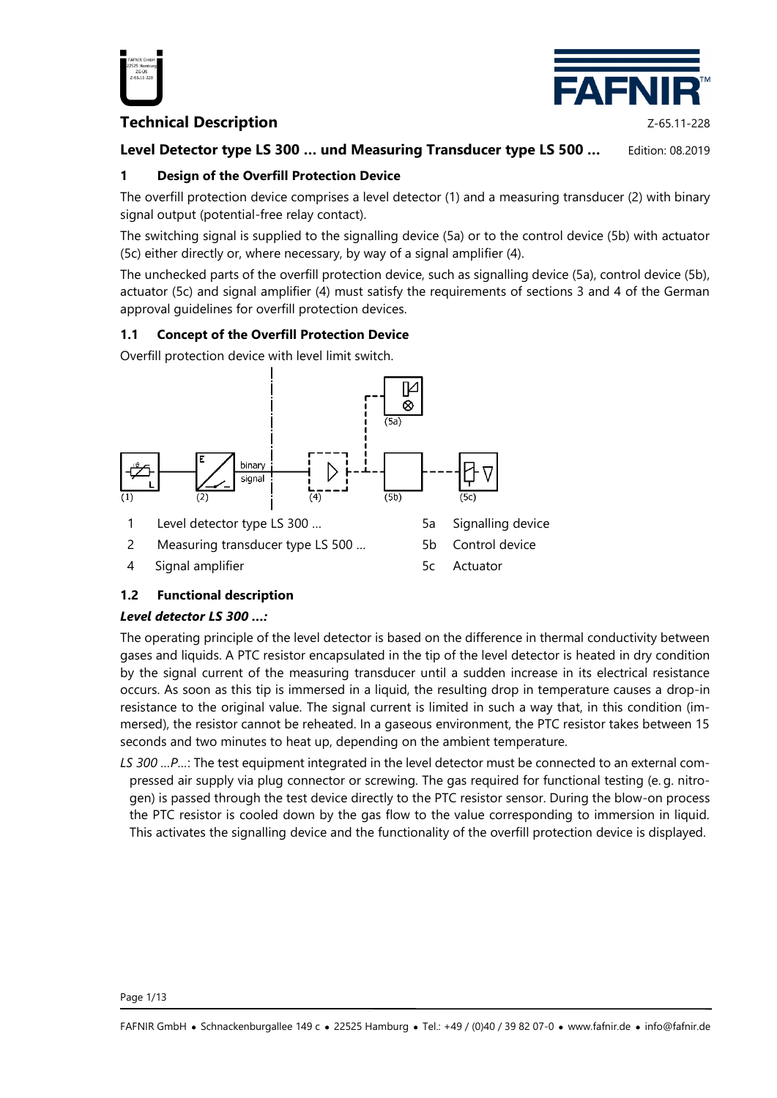

# **Technical Description Z-65.11-228**



# **Level Detector type LS 300 … und Measuring Transducer type LS 500 …** Edition: 08.2019

# **1 Design of the Overfill Protection Device**

The overfill protection device comprises a level detector (1) and a measuring transducer (2) with binary signal output (potential-free relay contact).

The switching signal is supplied to the signalling device (5a) or to the control device (5b) with actuator (5c) either directly or, where necessary, by way of a signal amplifier (4).

The unchecked parts of the overfill protection device, such as signalling device (5a), control device (5b), actuator (5c) and signal amplifier (4) must satisfy the requirements of sections 3 and 4 of the German approval guidelines for overfill protection devices.

### **1.1 Concept of the Overfill Protection Device**

Overfill protection device with level limit switch.



# **1.2 Functional description**

# *Level detector LS 300 …:*

The operating principle of the level detector is based on the difference in thermal conductivity between gases and liquids. A PTC resistor encapsulated in the tip of the level detector is heated in dry condition by the signal current of the measuring transducer until a sudden increase in its electrical resistance occurs. As soon as this tip is immersed in a liquid, the resulting drop in temperature causes a drop-in resistance to the original value. The signal current is limited in such a way that, in this condition (immersed), the resistor cannot be reheated. In a gaseous environment, the PTC resistor takes between 15 seconds and two minutes to heat up, depending on the ambient temperature.

*LS 300 …P…*: The test equipment integrated in the level detector must be connected to an external compressed air supply via plug connector or screwing. The gas required for functional testing (e. g. nitrogen) is passed through the test device directly to the PTC resistor sensor. During the blow-on process the PTC resistor is cooled down by the gas flow to the value corresponding to immersion in liquid. This activates the signalling device and the functionality of the overfill protection device is displayed.

Page 1/13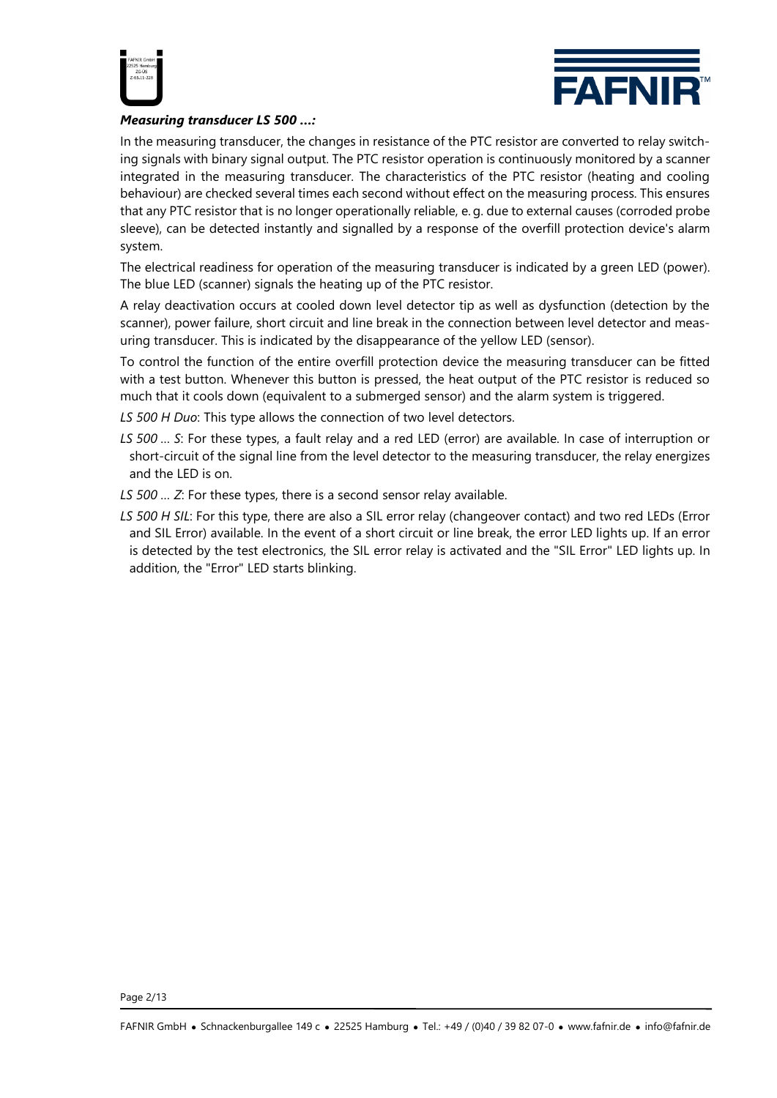



#### *Measuring transducer LS 500 …:*

In the measuring transducer, the changes in resistance of the PTC resistor are converted to relay switching signals with binary signal output. The PTC resistor operation is continuously monitored by a scanner integrated in the measuring transducer. The characteristics of the PTC resistor (heating and cooling behaviour) are checked several times each second without effect on the measuring process. This ensures that any PTC resistor that is no longer operationally reliable, e. g. due to external causes (corroded probe sleeve), can be detected instantly and signalled by a response of the overfill protection device's alarm system.

The electrical readiness for operation of the measuring transducer is indicated by a green LED (power). The blue LED (scanner) signals the heating up of the PTC resistor.

A relay deactivation occurs at cooled down level detector tip as well as dysfunction (detection by the scanner), power failure, short circuit and line break in the connection between level detector and measuring transducer. This is indicated by the disappearance of the yellow LED (sensor).

To control the function of the entire overfill protection device the measuring transducer can be fitted with a test button. Whenever this button is pressed, the heat output of the PTC resistor is reduced so much that it cools down (equivalent to a submerged sensor) and the alarm system is triggered.

*LS 500 H Duo*: This type allows the connection of two level detectors.

- *LS 500 … S*: For these types, a fault relay and a red LED (error) are available. In case of interruption or short-circuit of the signal line from the level detector to the measuring transducer, the relay energizes and the LED is on.
- *LS 500 … Z*: For these types, there is a second sensor relay available.
- *LS 500 H SIL*: For this type, there are also a SIL error relay (changeover contact) and two red LEDs (Error and SIL Error) available. In the event of a short circuit or line break, the error LED lights up. If an error is detected by the test electronics, the SIL error relay is activated and the "SIL Error" LED lights up. In addition, the "Error" LED starts blinking.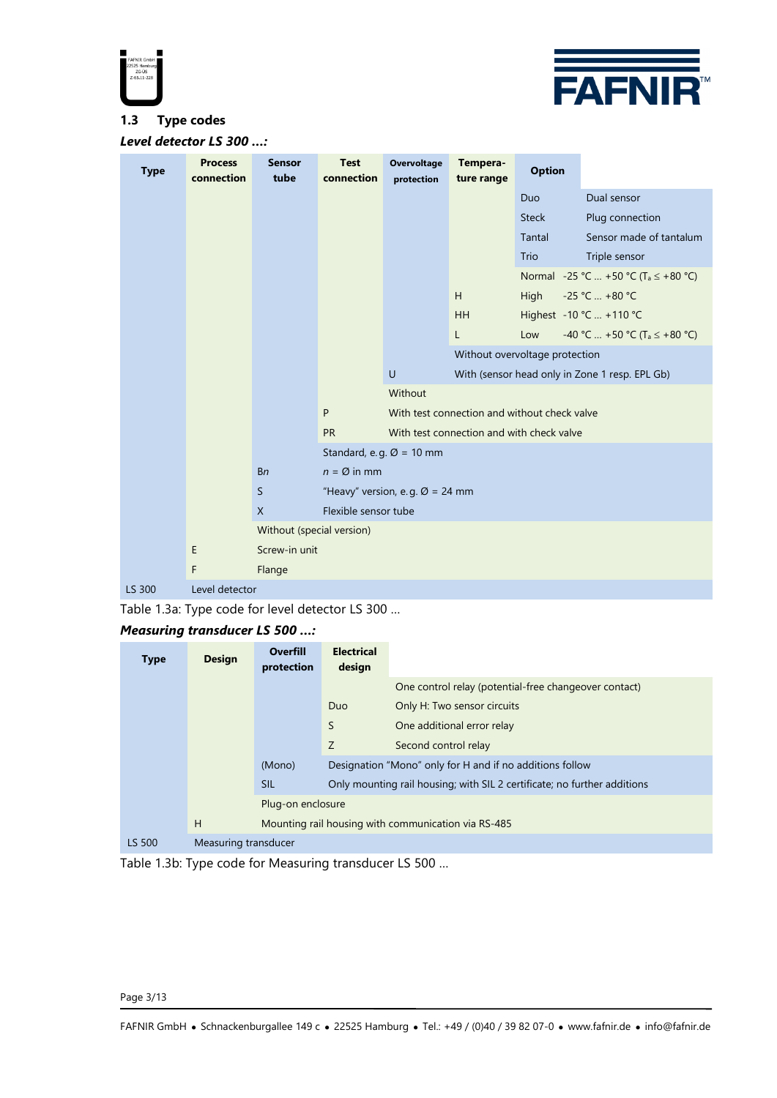



#### **1.3 Type codes**

*Level detector LS 300 …:*

| <b>Type</b> | <b>Process</b><br>connection | <b>Sensor</b><br>tube     | <b>Test</b><br>connection                   | <b>Overvoltage</b><br>protection | Tempera-<br>ture range | <b>Option</b>                                |                                                 |
|-------------|------------------------------|---------------------------|---------------------------------------------|----------------------------------|------------------------|----------------------------------------------|-------------------------------------------------|
|             |                              |                           |                                             |                                  |                        | Duo                                          | Dual sensor                                     |
|             |                              |                           |                                             |                                  |                        | <b>Steck</b>                                 | Plug connection                                 |
|             |                              |                           |                                             |                                  |                        | <b>Tantal</b>                                | Sensor made of tantalum                         |
|             |                              |                           |                                             |                                  |                        | Trio                                         | Triple sensor                                   |
|             |                              |                           |                                             |                                  |                        |                                              | Normal -25 °C  +50 °C (T <sub>a</sub> ≤ +80 °C) |
|             |                              |                           |                                             |                                  | H                      | High                                         | -25 °C  +80 °C                                  |
|             |                              |                           |                                             |                                  | <b>HH</b>              |                                              | Highest -10 °C  +110 °C                         |
|             |                              |                           |                                             |                                  | L                      | Low                                          | -40 °C  +50 °C (T <sub>a</sub> $\leq$ +80 °C)   |
|             |                              |                           |                                             |                                  |                        | Without overvoltage protection               |                                                 |
|             |                              |                           |                                             | $\cup$                           |                        |                                              | With (sensor head only in Zone 1 resp. EPL Gb)  |
|             |                              |                           |                                             | Without                          |                        |                                              |                                                 |
|             |                              |                           | P                                           |                                  |                        | With test connection and without check valve |                                                 |
|             |                              |                           | <b>PR</b>                                   |                                  |                        | With test connection and with check valve    |                                                 |
|             |                              |                           | Standard, e.g. $\varnothing$ = 10 mm        |                                  |                        |                                              |                                                 |
|             |                              | <b>Bn</b>                 | $n = \emptyset$ in mm                       |                                  |                        |                                              |                                                 |
|             |                              | <sub>S</sub>              | "Heavy" version, e.g. $\varnothing$ = 24 mm |                                  |                        |                                              |                                                 |
|             |                              | $\mathsf{X}$              | Flexible sensor tube                        |                                  |                        |                                              |                                                 |
|             |                              | Without (special version) |                                             |                                  |                        |                                              |                                                 |
|             | E                            | Screw-in unit             |                                             |                                  |                        |                                              |                                                 |
|             | F                            | Flange                    |                                             |                                  |                        |                                              |                                                 |
| LS 300      | Level detector               |                           |                                             |                                  |                        |                                              |                                                 |

Table 1.3a: Type code for level detector LS 300 …

### *Measuring transducer LS 500 …:*

| <b>Type</b> | <b>Design</b>        | <b>Overfill</b><br>protection | <b>Electrical</b><br>design |                                                                          |
|-------------|----------------------|-------------------------------|-----------------------------|--------------------------------------------------------------------------|
|             |                      |                               |                             | One control relay (potential-free changeover contact)                    |
|             |                      |                               | <b>Duo</b>                  | Only H: Two sensor circuits                                              |
|             |                      |                               | S                           | One additional error relay                                               |
|             |                      |                               | Z                           | Second control relay                                                     |
|             |                      | (Mono)                        |                             | Designation "Mono" only for H and if no additions follow                 |
|             |                      | <b>SIL</b>                    |                             | Only mounting rail housing; with SIL 2 certificate; no further additions |
|             |                      | Plug-on enclosure             |                             |                                                                          |
|             | H                    |                               |                             | Mounting rail housing with communication via RS-485                      |
| LS 500      | Measuring transducer |                               |                             |                                                                          |

Table 1.3b: Type code for Measuring transducer LS 500 …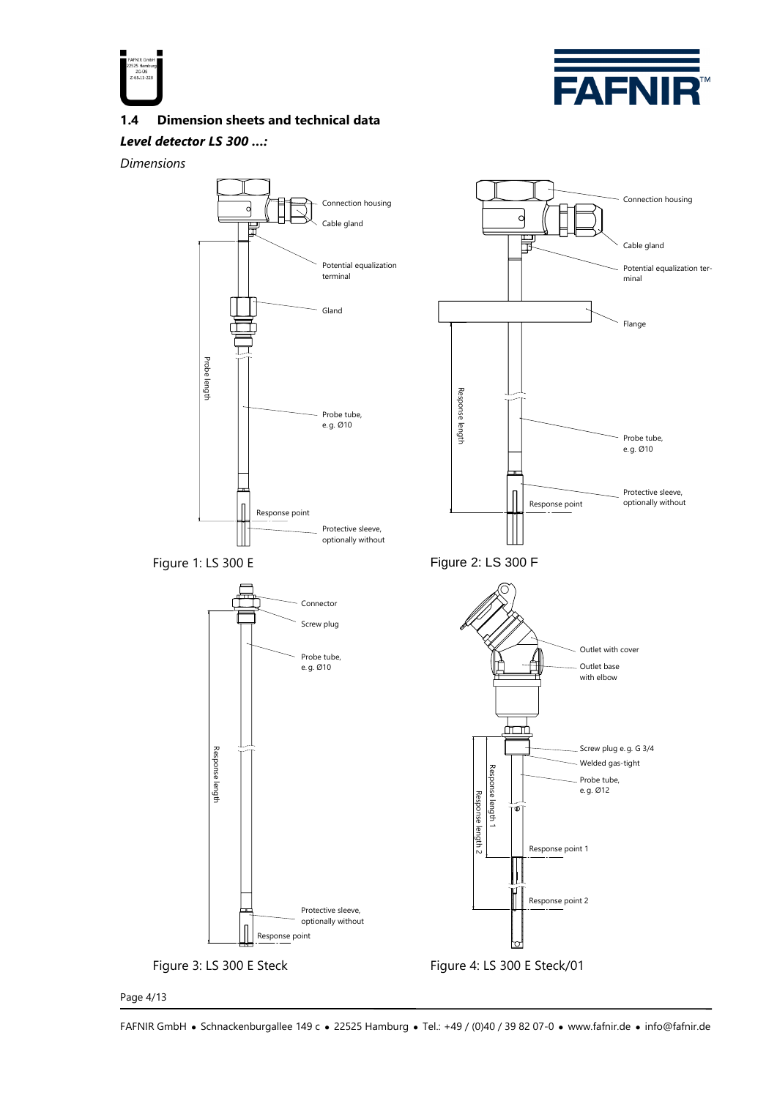



Connection housing

Potential equalization ter-

Cable gland

minal

Flange

Probe tube, e. g. Ø10

Protective sleeve,

**1.4 Dimension sheets and technical data**

#### *Level detector LS 300 …:*

*Dimensions*





 $\begin{bmatrix} \phantom{-} \end{bmatrix}$ 

Page 4/13

FAFNIR GmbH • Schnackenburgallee 149 c • 22525 Hamburg • Tel.: +49 / (0)40 / 39 82 07-0 • www.fafnir.de • info@fafnir.de

optionally without

Response point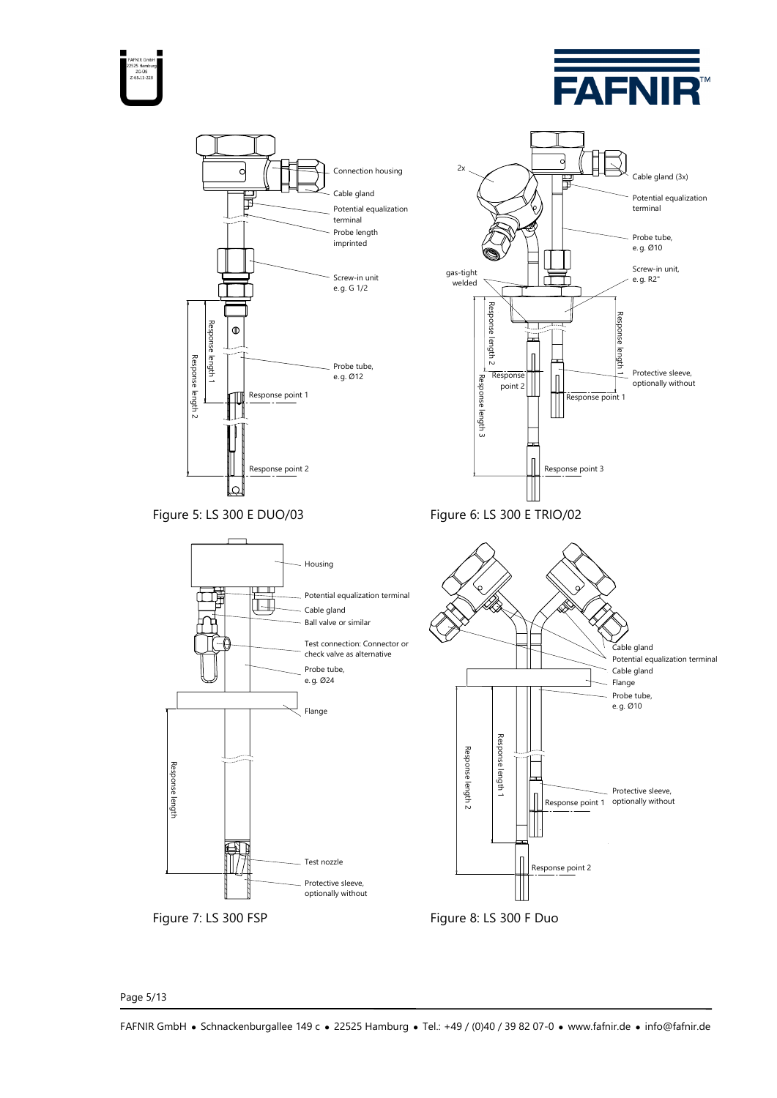





Page 5/13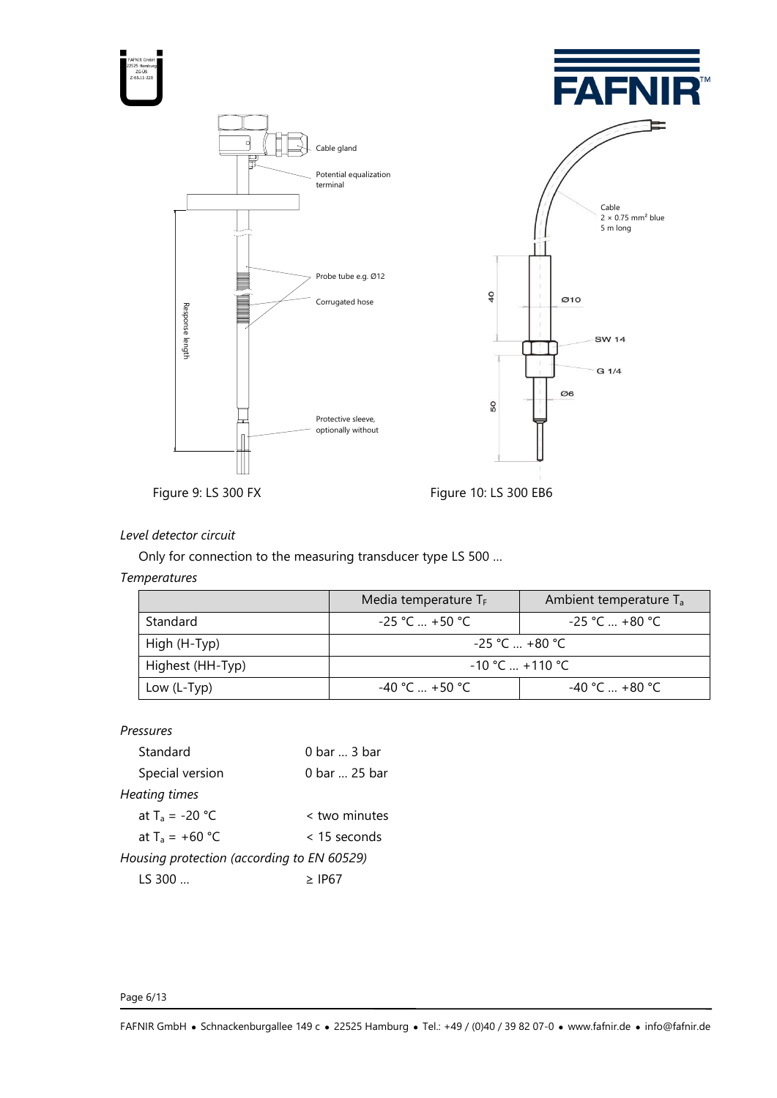

# *Level detector circuit*

Only for connection to the measuring transducer type LS 500 …

#### *Temperatures*

|                  | Media temperature $T_F$            | Ambient temperature T <sub>a</sub> |  |
|------------------|------------------------------------|------------------------------------|--|
| Standard         | $-25$ °C  +50 °C                   | $-25$ °C  +80 °C                   |  |
| High (H-Typ)     | $-25$ °C  +80 °C                   |                                    |  |
| Highest (HH-Typ) | $-10\degree$ C $+110\degree$ C $-$ |                                    |  |
| Low $(L-Typ)$    | $-40 °C = +50 °C$                  | $-40$ °C $$ +80 °C                 |  |

#### *Pressures*

| Standard                                   | 0 bar  3 bar   |  |  |
|--------------------------------------------|----------------|--|--|
| Special version                            | 0 bar  25 bar  |  |  |
| Heating times                              |                |  |  |
| at $T_a = -20 °C$                          | < two minutes  |  |  |
| at $T_a = +60 °C$                          | $<$ 15 seconds |  |  |
| Housing protection (according to EN 60529) |                |  |  |
| LS 300.                                    | > 1P67         |  |  |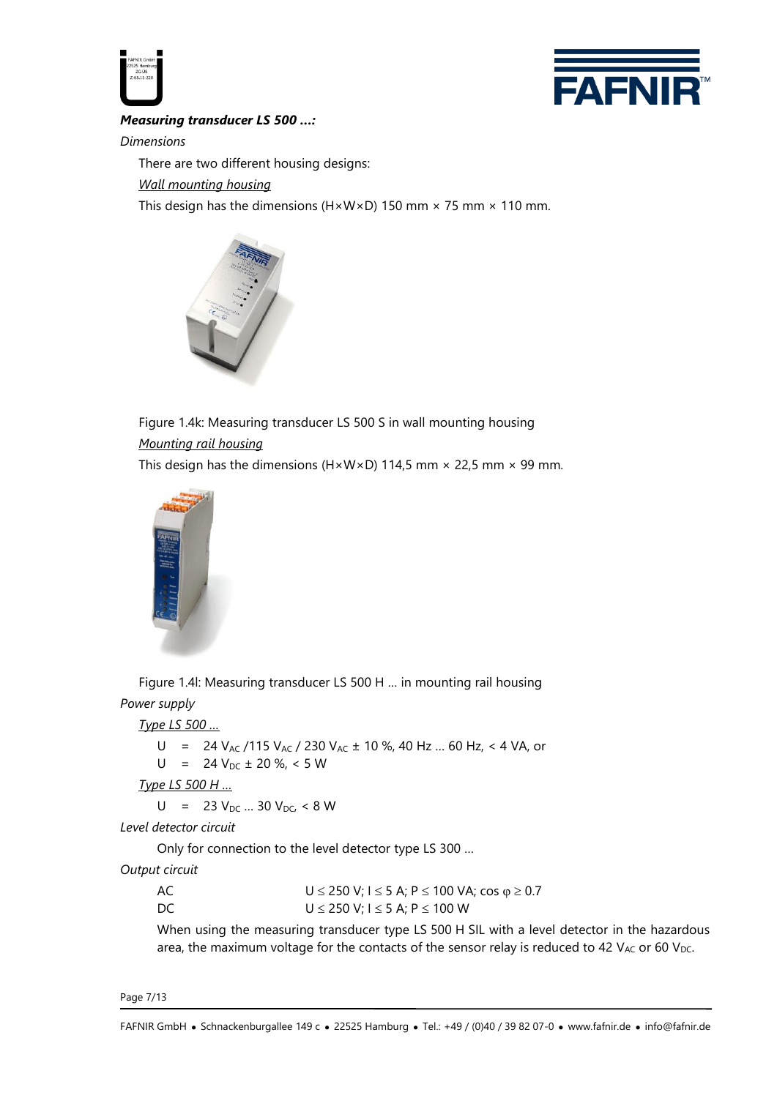



*Measuring transducer LS 500 …:*

*Dimensions*

There are two different housing designs:

*Wall mounting housing*

This design has the dimensions (H $\times$ W $\times$ D) 150 mm  $\times$  75 mm  $\times$  110 mm.



Figure 1.4k: Measuring transducer LS 500 S in wall mounting housing *Mounting rail housing*

This design has the dimensions (H $\times$ W $\times$ D) 114,5 mm  $\times$  22,5 mm  $\times$  99 mm.



Figure 1.4l: Measuring transducer LS 500 H … in mounting rail housing *Power supply*

*Type LS 500 …*

U = 24 V<sub>AC</sub> / 115 V<sub>AC</sub> / 230 V<sub>AC</sub> ± 10 %, 40 Hz ... 60 Hz, < 4 VA, or  $U = 24 V_{DC} \pm 20 \%$ , < 5 W *Type LS 500 H …*  $U = 23 V_{DC} ... 30 V_{DC} < 8 W$ *Level detector circuit* Only for connection to the level detector type LS 300 …

*Output circuit*

| AC. | U ≤ 250 V; I ≤ 5 A; P ≤ 100 VA; cos $\varphi$ ≥ 0.7 |
|-----|-----------------------------------------------------|
| DC  | U ≤ 250 V; I ≤ 5 A; P ≤ 100 W                       |

When using the measuring transducer type LS 500 H SIL with a level detector in the hazardous area, the maximum voltage for the contacts of the sensor relay is reduced to 42  $V_{AC}$  or 60  $V_{DC}$ .

Page 7/13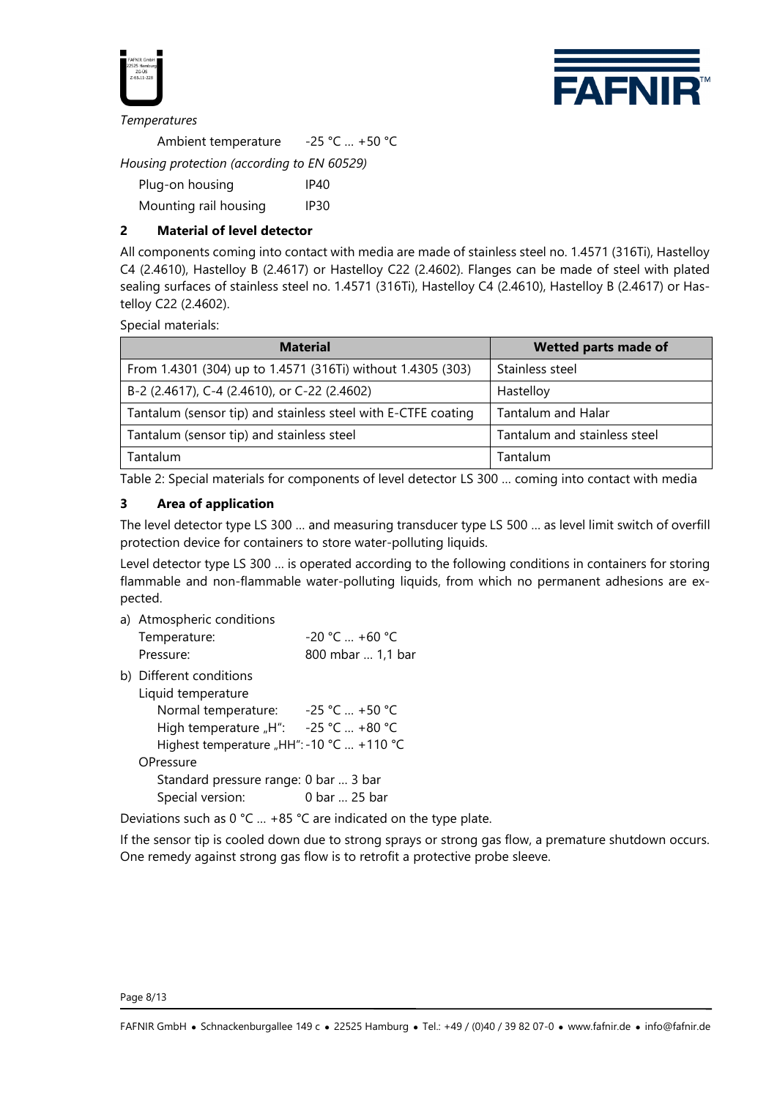



#### *Temperatures*

Ambient temperature -25 °C … +50 °C *Housing protection (according to EN 60529)*

| Plug-on housing       | IP40             |
|-----------------------|------------------|
| Mounting rail housing | IP <sub>30</sub> |

# **2 Material of level detector**

All components coming into contact with media are made of stainless steel no. 1.4571 (316Ti), Hastelloy C4 (2.4610), Hastelloy B (2.4617) or Hastelloy C22 (2.4602). Flanges can be made of steel with plated sealing surfaces of stainless steel no. 1.4571 (316Ti), Hastelloy C4 (2.4610), Hastelloy B (2.4617) or Hastelloy C22 (2.4602).

Special materials:

| <b>Material</b>                                               | <b>Wetted parts made of</b>  |
|---------------------------------------------------------------|------------------------------|
| From 1.4301 (304) up to 1.4571 (316Ti) without 1.4305 (303)   | Stainless steel              |
| B-2 (2.4617), C-4 (2.4610), or C-22 (2.4602)                  | Hastelloy                    |
| Tantalum (sensor tip) and stainless steel with E-CTFE coating | Tantalum and Halar           |
| Tantalum (sensor tip) and stainless steel                     | Tantalum and stainless steel |
| Tantalum                                                      | Tantalum                     |

Table 2: Special materials for components of level detector LS 300 … coming into contact with media

### **3 Area of application**

The level detector type LS 300 … and measuring transducer type LS 500 … as level limit switch of overfill protection device for containers to store water-polluting liquids.

Level detector type LS 300 … is operated according to the following conditions in containers for storing flammable and non-flammable water-polluting liquids, from which no permanent adhesions are expected.

a) Atmospheric conditions

| Temperature: | $-20$ °C  +60 °C  |
|--------------|-------------------|
| Pressure:    | 800 mbar  1,1 bar |

b) Different conditions

Liquid temperature

| Normal temperature:                       | $-25$ °C  +50 °C |  |  |
|-------------------------------------------|------------------|--|--|
| High temperature "H":                     | $-25$ °C  +80 °C |  |  |
| Highest temperature "HH": -10 °C  +110 °C |                  |  |  |
| OPressure                                 |                  |  |  |
| Standard pressure range: 0 bar  3 bar     |                  |  |  |
| Special version:                          | 0 bar  25 bar    |  |  |
|                                           |                  |  |  |

Deviations such as 0 °C … +85 °C are indicated on the type plate.

If the sensor tip is cooled down due to strong sprays or strong gas flow, a premature shutdown occurs. One remedy against strong gas flow is to retrofit a protective probe sleeve.

Page 8/13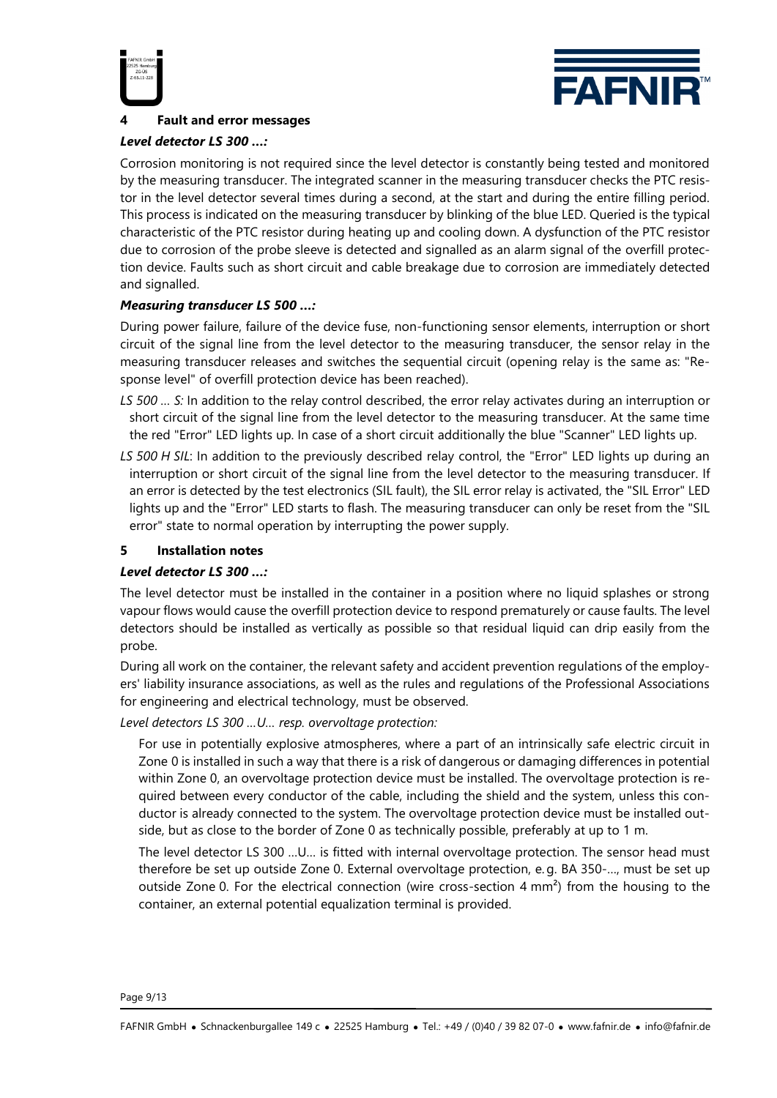



# **4 Fault and error messages**

### *Level detector LS 300 …:*

Corrosion monitoring is not required since the level detector is constantly being tested and monitored by the measuring transducer. The integrated scanner in the measuring transducer checks the PTC resistor in the level detector several times during a second, at the start and during the entire filling period. This process is indicated on the measuring transducer by blinking of the blue LED. Queried is the typical characteristic of the PTC resistor during heating up and cooling down. A dysfunction of the PTC resistor due to corrosion of the probe sleeve is detected and signalled as an alarm signal of the overfill protection device. Faults such as short circuit and cable breakage due to corrosion are immediately detected and signalled.

### *Measuring transducer LS 500 …:*

During power failure, failure of the device fuse, non-functioning sensor elements, interruption or short circuit of the signal line from the level detector to the measuring transducer, the sensor relay in the measuring transducer releases and switches the sequential circuit (opening relay is the same as: "Response level" of overfill protection device has been reached).

- *LS 500 … S:* In addition to the relay control described, the error relay activates during an interruption or short circuit of the signal line from the level detector to the measuring transducer. At the same time the red "Error" LED lights up. In case of a short circuit additionally the blue "Scanner" LED lights up.
- *LS 500 H SIL*: In addition to the previously described relay control, the "Error" LED lights up during an interruption or short circuit of the signal line from the level detector to the measuring transducer. If an error is detected by the test electronics (SIL fault), the SIL error relay is activated, the "SIL Error" LED lights up and the "Error" LED starts to flash. The measuring transducer can only be reset from the "SIL error" state to normal operation by interrupting the power supply.

### **5 Installation notes**

# *Level detector LS 300 …:*

The level detector must be installed in the container in a position where no liquid splashes or strong vapour flows would cause the overfill protection device to respond prematurely or cause faults. The level detectors should be installed as vertically as possible so that residual liquid can drip easily from the probe.

During all work on the container, the relevant safety and accident prevention regulations of the employers' liability insurance associations, as well as the rules and regulations of the Professional Associations for engineering and electrical technology, must be observed.

*Level detectors LS 300 …U… resp. overvoltage protection:*

For use in potentially explosive atmospheres, where a part of an intrinsically safe electric circuit in Zone 0 is installed in such a way that there is a risk of dangerous or damaging differences in potential within Zone 0, an overvoltage protection device must be installed. The overvoltage protection is required between every conductor of the cable, including the shield and the system, unless this conductor is already connected to the system. The overvoltage protection device must be installed outside, but as close to the border of Zone 0 as technically possible, preferably at up to 1 m.

The level detector LS 300 …U… is fitted with internal overvoltage protection. The sensor head must therefore be set up outside Zone 0. External overvoltage protection, e. g. BA 350-…, must be set up outside Zone 0. For the electrical connection (wire cross-section 4 mm²) from the housing to the container, an external potential equalization terminal is provided.

Page 9/13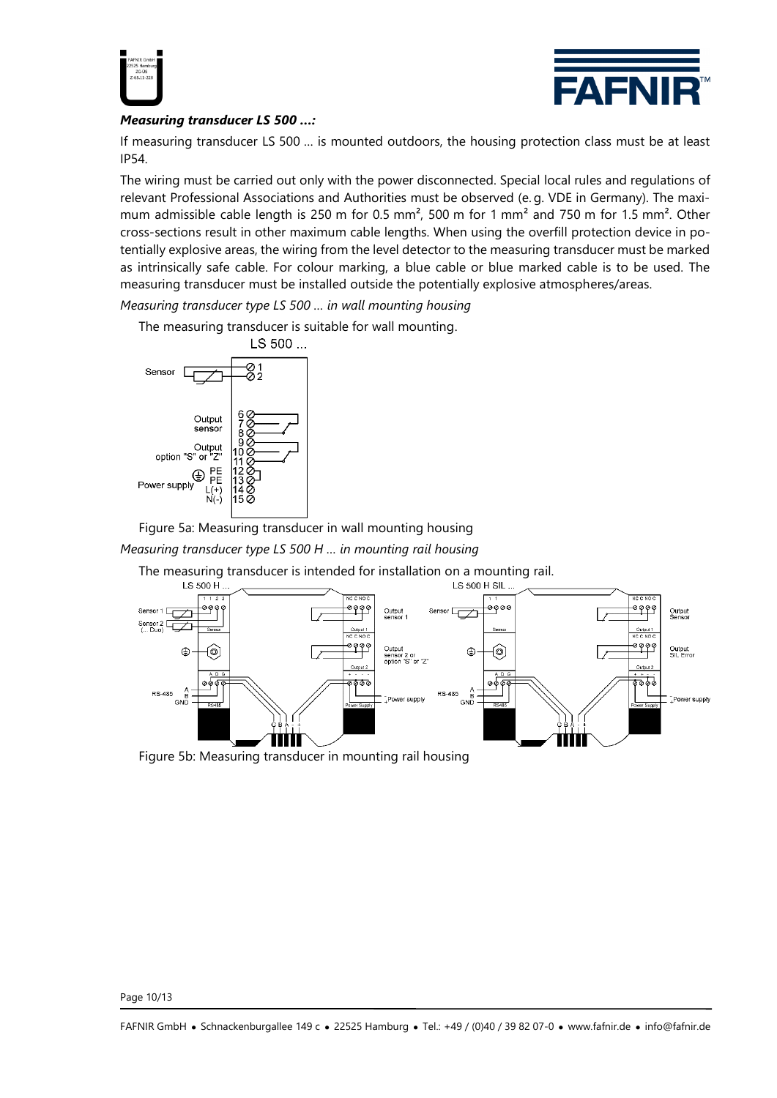



# *Measuring transducer LS 500 …:*

If measuring transducer LS 500 … is mounted outdoors, the housing protection class must be at least IP54.

The wiring must be carried out only with the power disconnected. Special local rules and regulations of relevant Professional Associations and Authorities must be observed (e. g. VDE in Germany). The maximum admissible cable length is 250 m for 0.5 mm<sup>2</sup>, 500 m for 1 mm<sup>2</sup> and 750 m for 1.5 mm<sup>2</sup>. Other cross-sections result in other maximum cable lengths. When using the overfill protection device in potentially explosive areas, the wiring from the level detector to the measuring transducer must be marked as intrinsically safe cable. For colour marking, a blue cable or blue marked cable is to be used. The measuring transducer must be installed outside the potentially explosive atmospheres/areas.

*Measuring transducer type LS 500 … in wall mounting housing*

The measuring transducer is suitable for wall mounting.



Figure 5a: Measuring transducer in wall mounting housing

*Measuring transducer type LS 500 H … in mounting rail housing*

The measuring transducer is intended for installation on a mounting rail.



Figure 5b: Measuring transducer in mounting rail housing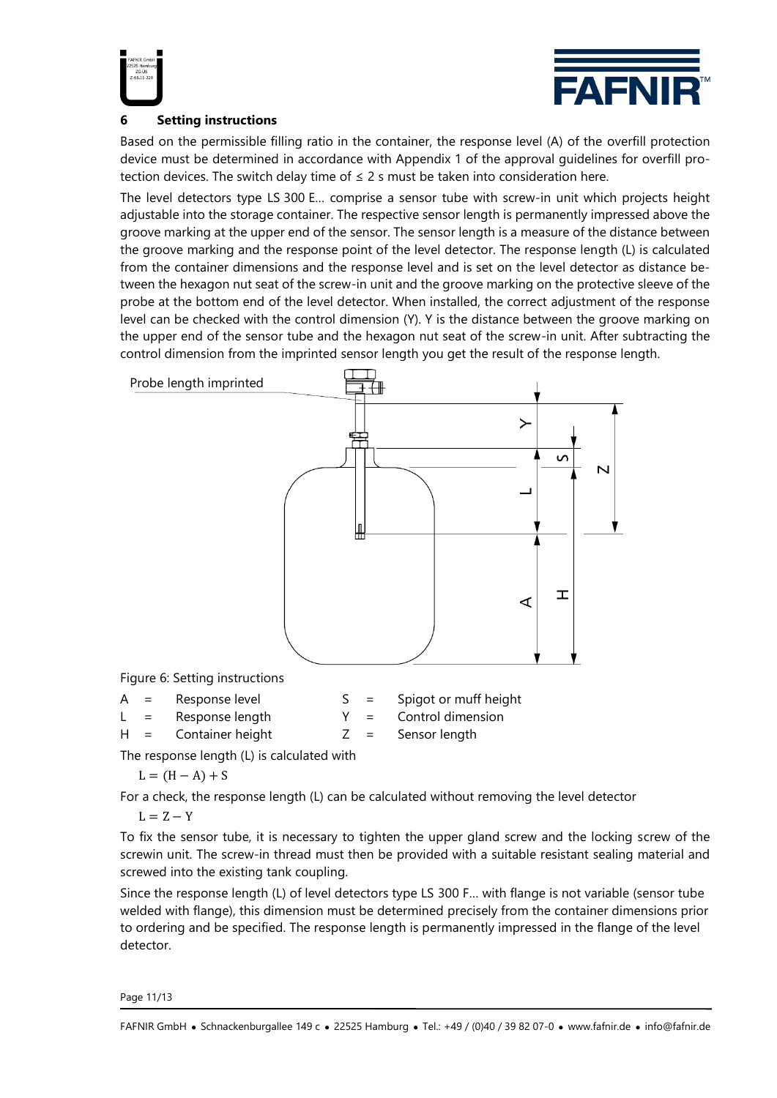



# **6 Setting instructions**

Based on the permissible filling ratio in the container, the response level (A) of the overfill protection device must be determined in accordance with Appendix 1 of the approval guidelines for overfill protection devices. The switch delay time of  $\leq 2$  s must be taken into consideration here.

The level detectors type LS 300 E… comprise a sensor tube with screw-in unit which projects height adjustable into the storage container. The respective sensor length is permanently impressed above the groove marking at the upper end of the sensor. The sensor length is a measure of the distance between the groove marking and the response point of the level detector. The response length (L) is calculated from the container dimensions and the response level and is set on the level detector as distance between the hexagon nut seat of the screw-in unit and the groove marking on the protective sleeve of the probe at the bottom end of the level detector. When installed, the correct adjustment of the response level can be checked with the control dimension (Y). Y is the distance between the groove marking on the upper end of the sensor tube and the hexagon nut seat of the screw-in unit. After subtracting the control dimension from the imprinted sensor length you get the result of the response length.



The response length (L) is calculated with

$$
L = (H - A) + S
$$

For a check, the response length (L) can be calculated without removing the level detector

 $L = Z - Y$ 

To fix the sensor tube, it is necessary to tighten the upper gland screw and the locking screw of the screwin unit. The screw-in thread must then be provided with a suitable resistant sealing material and screwed into the existing tank coupling.

Since the response length (L) of level detectors type LS 300 F… with flange is not variable (sensor tube welded with flange), this dimension must be determined precisely from the container dimensions prior to ordering and be specified. The response length is permanently impressed in the flange of the level detector.

Page 11/13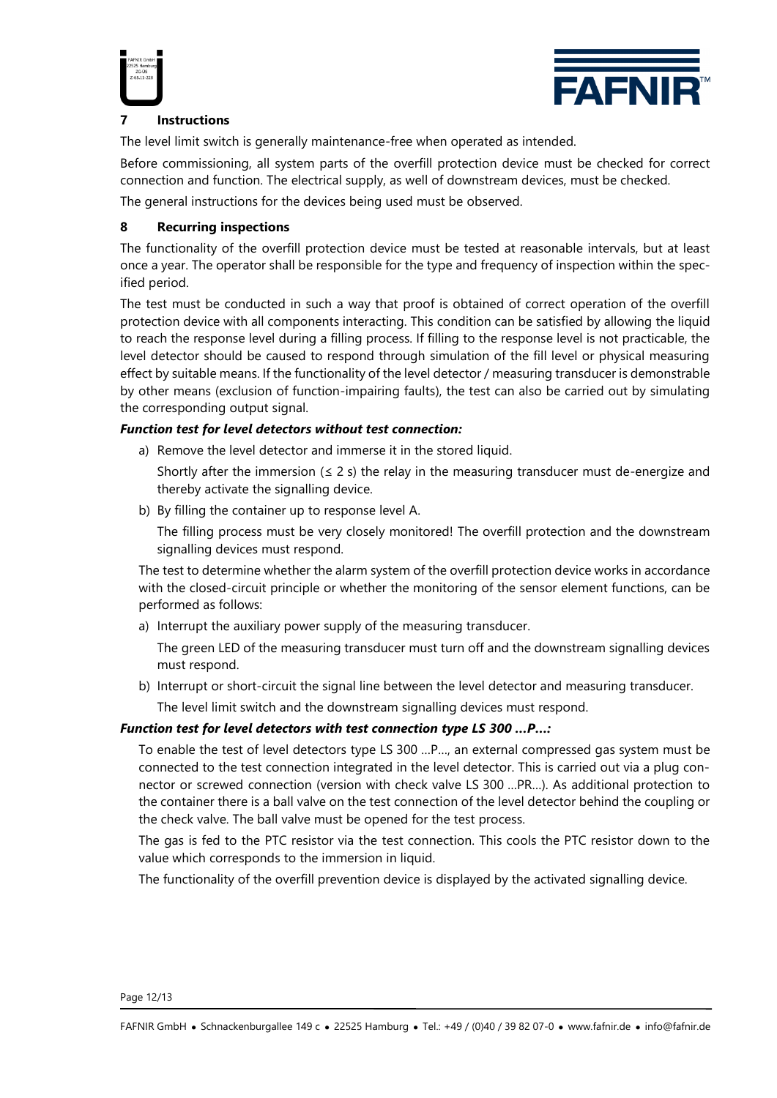



# **7 Instructions**

The level limit switch is generally maintenance-free when operated as intended.

Before commissioning, all system parts of the overfill protection device must be checked for correct connection and function. The electrical supply, as well of downstream devices, must be checked.

The general instructions for the devices being used must be observed.

# **8 Recurring inspections**

The functionality of the overfill protection device must be tested at reasonable intervals, but at least once a year. The operator shall be responsible for the type and frequency of inspection within the specified period.

The test must be conducted in such a way that proof is obtained of correct operation of the overfill protection device with all components interacting. This condition can be satisfied by allowing the liquid to reach the response level during a filling process. If filling to the response level is not practicable, the level detector should be caused to respond through simulation of the fill level or physical measuring effect by suitable means. If the functionality of the level detector / measuring transducer is demonstrable by other means (exclusion of function-impairing faults), the test can also be carried out by simulating the corresponding output signal.

### *Function test for level detectors without test connection:*

- a) Remove the level detector and immerse it in the stored liquid.
	- Shortly after the immersion  $( \leq 2 \text{ s})$  the relay in the measuring transducer must de-energize and thereby activate the signalling device.
- b) By filling the container up to response level A.

The filling process must be very closely monitored! The overfill protection and the downstream signalling devices must respond.

The test to determine whether the alarm system of the overfill protection device works in accordance with the closed-circuit principle or whether the monitoring of the sensor element functions, can be performed as follows:

a) Interrupt the auxiliary power supply of the measuring transducer.

The green LED of the measuring transducer must turn off and the downstream signalling devices must respond.

b) Interrupt or short-circuit the signal line between the level detector and measuring transducer. The level limit switch and the downstream signalling devices must respond.

# *Function test for level detectors with test connection type LS 300 …P…:*

To enable the test of level detectors type LS 300 …P…, an external compressed gas system must be connected to the test connection integrated in the level detector. This is carried out via a plug connector or screwed connection (version with check valve LS 300 …PR…). As additional protection to the container there is a ball valve on the test connection of the level detector behind the coupling or the check valve. The ball valve must be opened for the test process.

The gas is fed to the PTC resistor via the test connection. This cools the PTC resistor down to the value which corresponds to the immersion in liquid.

The functionality of the overfill prevention device is displayed by the activated signalling device.